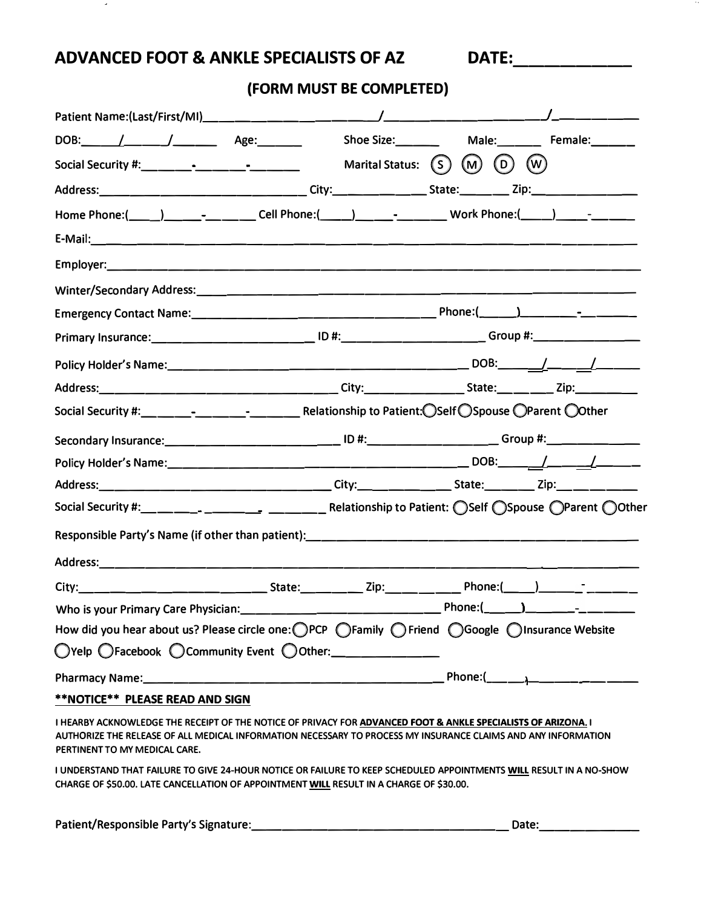**ADVANCED FOOT & ANKLE SPECIALISTS OF AZ** 

 $\mathcal{A}$ 

DATE:\_\_\_\_\_\_\_\_\_\_\_\_

**(FORM MUST BE COMPLETED)** 

|                                                                                                                                                                                                                                                                 |                                                                                                                |                         | Male:__________ Female:________ |
|-----------------------------------------------------------------------------------------------------------------------------------------------------------------------------------------------------------------------------------------------------------------|----------------------------------------------------------------------------------------------------------------|-------------------------|---------------------------------|
|                                                                                                                                                                                                                                                                 |                                                                                                                |                         |                                 |
|                                                                                                                                                                                                                                                                 |                                                                                                                |                         |                                 |
| Home Phone:(_____)__________________Cell Phone:(_____)__________________Work Phone:(_____)______-________                                                                                                                                                       |                                                                                                                |                         |                                 |
|                                                                                                                                                                                                                                                                 |                                                                                                                |                         |                                 |
|                                                                                                                                                                                                                                                                 |                                                                                                                |                         |                                 |
|                                                                                                                                                                                                                                                                 |                                                                                                                |                         |                                 |
|                                                                                                                                                                                                                                                                 |                                                                                                                |                         |                                 |
|                                                                                                                                                                                                                                                                 | Primary Insurance: ________________________________ ID #:_____________________________Group #:________________ |                         |                                 |
|                                                                                                                                                                                                                                                                 |                                                                                                                |                         |                                 |
|                                                                                                                                                                                                                                                                 |                                                                                                                |                         |                                 |
|                                                                                                                                                                                                                                                                 |                                                                                                                |                         |                                 |
| Secondary Insurance: _________________________________ ID #:_____________________ Group #:__________                                                                                                                                                            |                                                                                                                |                         |                                 |
|                                                                                                                                                                                                                                                                 |                                                                                                                |                         |                                 |
| Address:_________________________________City:________________State:_________Zip:___________________                                                                                                                                                            |                                                                                                                |                         |                                 |
|                                                                                                                                                                                                                                                                 |                                                                                                                |                         |                                 |
|                                                                                                                                                                                                                                                                 |                                                                                                                |                         |                                 |
|                                                                                                                                                                                                                                                                 |                                                                                                                |                         |                                 |
|                                                                                                                                                                                                                                                                 |                                                                                                                |                         |                                 |
|                                                                                                                                                                                                                                                                 |                                                                                                                |                         |                                 |
| How did you hear about us? Please circle one: OPCP OFamily OFriend OGoogle OInsurance Website                                                                                                                                                                   |                                                                                                                |                         |                                 |
| O'Yelp OFacebook O Community Event O Other: ___________                                                                                                                                                                                                         |                                                                                                                |                         |                                 |
| Pharmacy Name: Manual Manual Manual Manual Manual Manual Manual Manual Manual Manual Manual Manual Manual Manu                                                                                                                                                  |                                                                                                                | Phone: $(\_\_\_\_\_\_\$ |                                 |
| <b>**NOTICE** PLEASE READ AND SIGN</b>                                                                                                                                                                                                                          |                                                                                                                |                         |                                 |
| I HEARBY ACKNOWLEDGE THE RECEIPT OF THE NOTICE OF PRIVACY FOR ADVANCED FOOT & ANKLE SPECIALISTS OF ARIZONA. I<br>AUTHORIZE THE RELEASE OF ALL MEDICAL INFORMATION NECESSARY TO PROCESS MY INSURANCE CLAIMS AND ANY INFORMATION<br>PERTINENT TO MY MEDICAL CARE. |                                                                                                                |                         |                                 |
| I UNDERSTAND THAT FAILURE TO GIVE 24-HOUR NOTICE OR FAILURE TO KEEP SCHEDULED APPOINTMENTS WILL RESULT IN A NO-SHOW<br>CHARGE OF \$50.00. LATE CANCELLATION OF APPOINTMENT WILL RESULT IN A CHARGE OF \$30.00.                                                  |                                                                                                                |                         |                                 |

**Patient/Responsible Party's Signature:\_\_\_\_\_\_\_\_\_\_\_\_\_\_\_\_\_ Date: \_\_\_\_\_\_\_**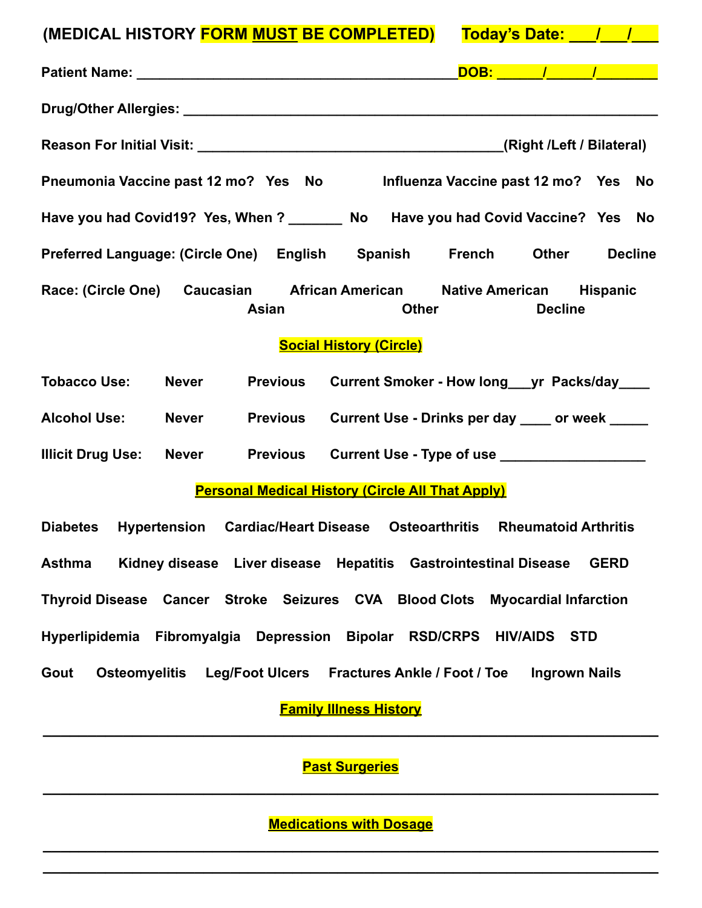| (MEDICAL HISTORY FORM MUST BE COMPLETED)                                                            | Today's Date: 1 1                    |                |  |  |  |
|-----------------------------------------------------------------------------------------------------|--------------------------------------|----------------|--|--|--|
|                                                                                                     |                                      |                |  |  |  |
|                                                                                                     |                                      |                |  |  |  |
|                                                                                                     |                                      |                |  |  |  |
| Pneumonia Vaccine past 12 mo? Yes No                                                                | Influenza Vaccine past 12 mo? Yes No |                |  |  |  |
| Have you had Covid19? Yes, When ? _______ No Have you had Covid Vaccine? Yes No                     |                                      |                |  |  |  |
| Preferred Language: (Circle One) English Spanish French Other                                       |                                      | <b>Decline</b> |  |  |  |
| Race: (Circle One) Caucasian African American Native American Hispanic<br>Asian<br><b>Other</b>     | <b>Decline</b>                       |                |  |  |  |
| <b>Social History (Circle)</b>                                                                      |                                      |                |  |  |  |
| <b>Tobacco Use:</b><br><b>Never</b><br>Previous Current Smoker - How long ___ yr Packs/day ____     |                                      |                |  |  |  |
| <b>Alcohol Use:</b><br>Previous Current Use - Drinks per day ____ or week ____<br><b>Never</b>      |                                      |                |  |  |  |
| <b>Illicit Drug Use:</b><br>Previous Current Use - Type of use ____________________<br><b>Never</b> |                                      |                |  |  |  |
| <b>Personal Medical History (Circle All That Apply)</b>                                             |                                      |                |  |  |  |
| Diabetes Hypertension Cardiac/Heart Disease Osteoarthritis Rheumatoid Arthritis                     |                                      |                |  |  |  |
| Kidney disease Liver disease Hepatitis Gastrointestinal Disease<br><b>Asthma</b>                    |                                      | <b>GERD</b>    |  |  |  |
| Thyroid Disease Cancer Stroke Seizures CVA Blood Clots Myocardial Infarction                        |                                      |                |  |  |  |
| Hyperlipidemia Fibromyalgia Depression Bipolar RSD/CRPS HIV/AIDS                                    |                                      | <b>STD</b>     |  |  |  |
| Osteomyelitis Leg/Foot Ulcers Fractures Ankle / Foot / Toe<br>Gout                                  | <b>Ingrown Nails</b>                 |                |  |  |  |
| <b>Family Illness History</b>                                                                       |                                      |                |  |  |  |

**Past Surgeries \_\_\_\_\_\_\_\_\_\_\_\_\_\_\_\_\_\_\_\_\_\_\_\_\_\_\_\_\_\_\_\_\_\_\_\_\_\_\_\_\_\_\_\_\_\_\_\_\_\_\_\_\_\_\_\_\_\_\_\_\_\_\_\_\_\_\_\_\_**

**\_\_\_\_\_\_\_\_\_\_\_\_\_\_\_\_\_\_\_\_\_\_\_\_\_\_\_\_\_\_\_\_\_\_\_\_\_\_\_\_\_\_\_\_\_\_\_\_\_\_\_\_\_\_\_\_\_\_\_\_\_\_\_\_\_\_\_\_\_**

**Medications with Dosage \_\_\_\_\_\_\_\_\_\_\_\_\_\_\_\_\_\_\_\_\_\_\_\_\_\_\_\_\_\_\_\_\_\_\_\_\_\_\_\_\_\_\_\_\_\_\_\_\_\_\_\_\_\_\_\_\_\_\_\_\_\_\_\_\_\_\_\_\_**

**\_\_\_\_\_\_\_\_\_\_\_\_\_\_\_\_\_\_\_\_\_\_\_\_\_\_\_\_\_\_\_\_\_\_\_\_\_\_\_\_\_\_\_\_\_\_\_\_\_\_\_\_\_\_\_\_\_\_\_\_\_\_\_\_\_\_\_\_\_**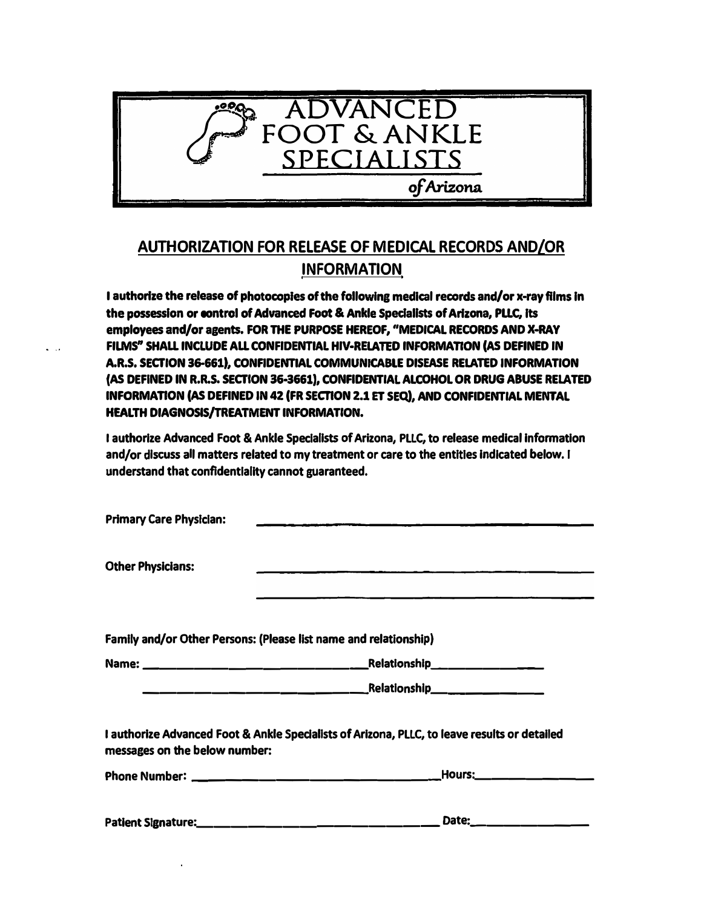

## **AUTHORIZATION FOR RELEASE OF MEDICAL RECORDS AND/OR INFORMATION**

**I authorize the release of photocopies of the following medical records and/or x-ray films In the possession or control of Advanced Foot & Ankle Spedallsts of Arizona, PLLC, Its employees and/or agents. FOR THE PURPOSE HEREOF, "MEDICAL RECORDS AND X-RAY FILMS<sup>n</sup>SHALL INCLUDE ALL CONFIDENTIAL HIV-RELATED INFORMATION (AS DEFINED IN A.R.S. SECTION 36-661) , CONFIDENTIAL COMMUNICABLE DISEASE RELATED INFORMATION (AS DEFINED IN R.R.S. SECTION 36-3661) , CONFIDENTIAL ALCOHOL OR DRUG ABUSE RELATED INFORMATION (AS DEFINED IN 42 (FR SECTION 2.1 ET SEQ), AND CONFIDENTIAL MENTAL HEALTH DIAGNOSIS/TREATMENT INFORMATION.** 

**I authorize Advanced Foot & Ankle Specialists of Arizona, PLLC, to release medical information and/or discuss all matters related to my treatment or care to the entitles indicated below. I understand that confldentlallty cannot guaranteed.** 

| <b>Primary Care Physician:</b> |                                                                                                                                                                                          |  |  |
|--------------------------------|------------------------------------------------------------------------------------------------------------------------------------------------------------------------------------------|--|--|
| <b>Other Physicians:</b>       | <u> 1980 - Jan Barnett, amerikan basar basar dan basa dan basar dan basar dan basar dan basar dan basar dalam basa</u><br><u> 1980 - John A. British, Amerikaansk politiker (* 1908)</u> |  |  |
|                                | Family and/or Other Persons: (Please list name and relationship)                                                                                                                         |  |  |
|                                |                                                                                                                                                                                          |  |  |
|                                |                                                                                                                                                                                          |  |  |
| messages on the below number:  | I authorize Advanced Foot & Ankle Specialists of Arizona, PLLC, to leave results or detailed                                                                                             |  |  |
|                                |                                                                                                                                                                                          |  |  |
|                                | Date:______________                                                                                                                                                                      |  |  |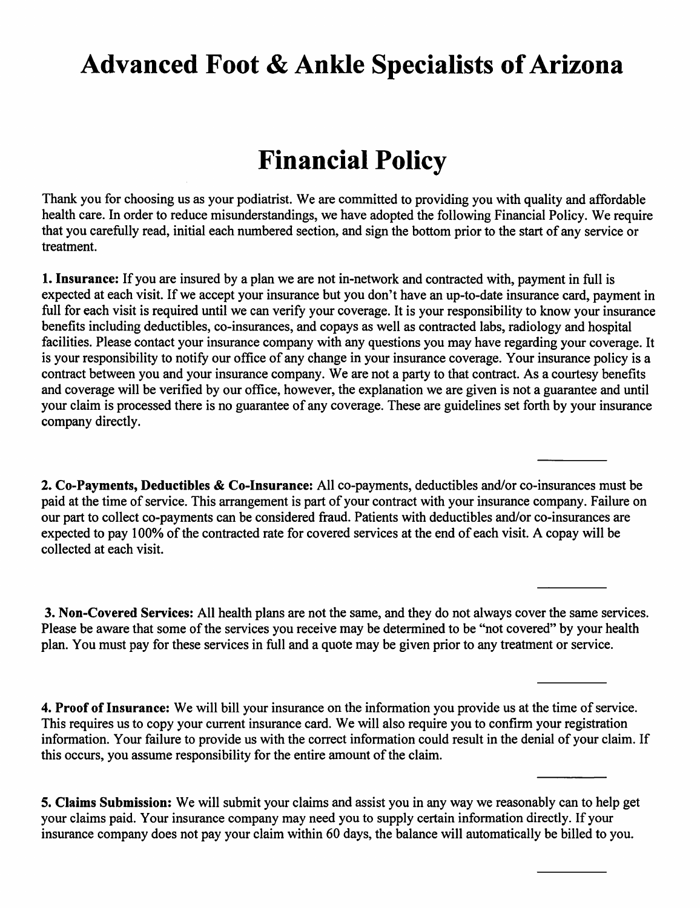## **Advanced Foot & Ankle Specialists of Arizona**

## **Financial Policy**

Thank you for choosing us as your podiatrist. We are committed to providing you with quality and affordable health care. In order to reduce misunderstandings, we have adopted the following Financial Policy. We require that you carefully read, initial each numbered section, and sign the bottom prior to the start of any service or treatment.

1. Insurance: If you are insured by a plan we are not in-network and contracted with, payment in full is expected at each visit. If we accept your insurance but you don't have an up-to-date insurance card, payment in full for each visit is required until we can verify your coverage. It is your responsibility to know your insurance benefits including deductibles, co-insurances, and copays as well as contracted labs, radiology and hospital facilities. Please contact your insurance company with any questions you may have regarding your coverage. It is your responsibility to notify our office of any change in your insurance coverage. Your insurance policy is a contract between you and your insurance company. We are not a party to that contract. As a courtesy benefits and coverage will be verified by our office, however, the explanation we are given is not a guarantee and until your claim is processed there is no guarantee of any coverage. These are guidelines set forth by your insurance company directly.

2. Co-Payments, Deductibles & Co-Insurance: All co-payments, deductibles and/or co-insurances must be paid at the time of service. This arrangement is part of your contract with your insurance company. Failure on our part to collect co-payments can be considered fraud. Patients with deductibles and/or co-insurances are expected to pay 100% of the contracted rate for covered services at the end of each visit. A copay will be collected at each visit.

3. Non-Covered Services: All health plans are not the same, and they do not always cover the same services. Please be aware that some of the services you receive may be determined to be "not covered" by your health plan. You must pay for these services in full and a quote may be given prior to any treatment or service.

4. Proof of Insurance: We will bill your insurance on the information you provide us at the time of service. This requires us to copy your current insurance card. We will also require you to confirm your registration information. Your failure to provide us with the correct information could result in the denial of your claim. If this occurs, you assume responsibility for the entire amount of the claim.

5. Claims Submission: We will submit your claims and assist you in any way we reasonably can to help get your claims paid. Your insurance company may need you to supply certain information directly. If your insurance company does not pay your claim within 60 days, the balance will automatically be billed to you.